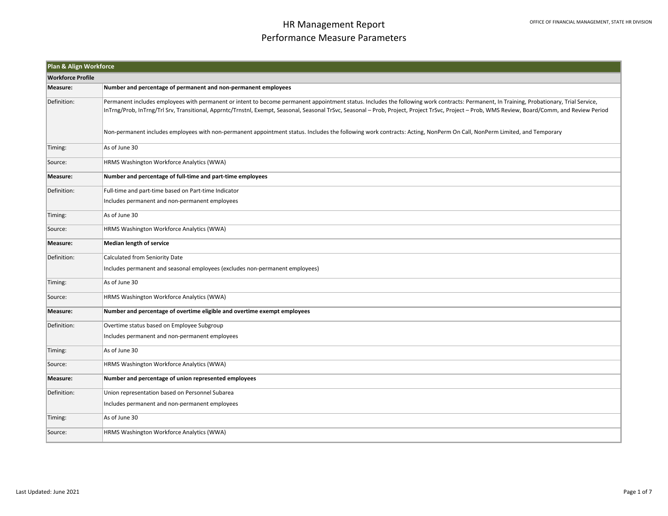| Plan & Align Workforce   |                                                                                                                                                                                                                                                                                                                                                                                               |  |  |
|--------------------------|-----------------------------------------------------------------------------------------------------------------------------------------------------------------------------------------------------------------------------------------------------------------------------------------------------------------------------------------------------------------------------------------------|--|--|
| <b>Workforce Profile</b> |                                                                                                                                                                                                                                                                                                                                                                                               |  |  |
| Measure:                 | Number and percentage of permanent and non-permanent employees                                                                                                                                                                                                                                                                                                                                |  |  |
| Definition:              | Permanent includes employees with permanent or intent to become permanent appointment status. Includes the following work contracts: Permanent, In Training, Probationary, Trial Service,<br>InTrng/Prob, InTrng/Trl Srv, Transitional, Apprntc/Trnstnl, Exempt, Seasonal, Seasonal TrSvc, Seasonal - Prob, Project, Project TrSvc, Project - Prob, WMS Review, Board/Comm, and Review Period |  |  |
|                          | Non-permanent includes employees with non-permanent appointment status. Includes the following work contracts: Acting, NonPerm On Call, NonPerm Limited, and Temporary                                                                                                                                                                                                                        |  |  |
| Timing:                  | As of June 30                                                                                                                                                                                                                                                                                                                                                                                 |  |  |
| Source:                  | HRMS Washington Workforce Analytics (WWA)                                                                                                                                                                                                                                                                                                                                                     |  |  |
| Measure:                 | Number and percentage of full-time and part-time employees                                                                                                                                                                                                                                                                                                                                    |  |  |
| Definition:              | Full-time and part-time based on Part-time Indicator                                                                                                                                                                                                                                                                                                                                          |  |  |
|                          | Includes permanent and non-permanent employees                                                                                                                                                                                                                                                                                                                                                |  |  |
| Timing:                  | As of June 30                                                                                                                                                                                                                                                                                                                                                                                 |  |  |
| Source:                  | HRMS Washington Workforce Analytics (WWA)                                                                                                                                                                                                                                                                                                                                                     |  |  |
| Measure:                 | <b>Median length of service</b>                                                                                                                                                                                                                                                                                                                                                               |  |  |
| Definition:              | Calculated from Seniority Date                                                                                                                                                                                                                                                                                                                                                                |  |  |
|                          | Includes permanent and seasonal employees (excludes non-permanent employees)                                                                                                                                                                                                                                                                                                                  |  |  |
| Timing:                  | As of June 30                                                                                                                                                                                                                                                                                                                                                                                 |  |  |
| Source:                  | HRMS Washington Workforce Analytics (WWA)                                                                                                                                                                                                                                                                                                                                                     |  |  |
| Measure:                 | Number and percentage of overtime eligible and overtime exempt employees                                                                                                                                                                                                                                                                                                                      |  |  |
| Definition:              | Overtime status based on Employee Subgroup                                                                                                                                                                                                                                                                                                                                                    |  |  |
|                          | Includes permanent and non-permanent employees                                                                                                                                                                                                                                                                                                                                                |  |  |
| Timing:                  | As of June 30                                                                                                                                                                                                                                                                                                                                                                                 |  |  |
| Source:                  | HRMS Washington Workforce Analytics (WWA)                                                                                                                                                                                                                                                                                                                                                     |  |  |
| Measure:                 | Number and percentage of union represented employees                                                                                                                                                                                                                                                                                                                                          |  |  |
| Definition:              | Union representation based on Personnel Subarea                                                                                                                                                                                                                                                                                                                                               |  |  |
|                          | Includes permanent and non-permanent employees                                                                                                                                                                                                                                                                                                                                                |  |  |
| Timing:                  | As of June 30                                                                                                                                                                                                                                                                                                                                                                                 |  |  |
| Source:                  | HRMS Washington Workforce Analytics (WWA)                                                                                                                                                                                                                                                                                                                                                     |  |  |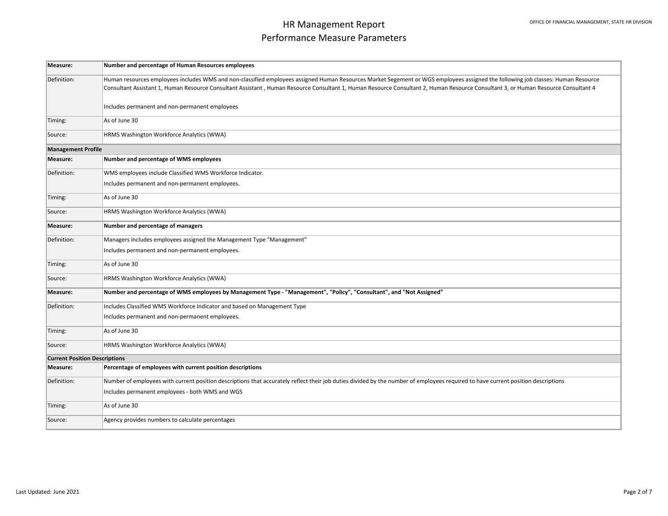| Measure:                             | Number and percentage of Human Resources employees                                                                                                                                                                                                                                                                                                                     |
|--------------------------------------|------------------------------------------------------------------------------------------------------------------------------------------------------------------------------------------------------------------------------------------------------------------------------------------------------------------------------------------------------------------------|
| Definition:                          | Human resources employees includes WMS and non-classified employees assigned Human Resources Market Segement or WGS employees assigned the following job classes: Human Resource<br>Consultant Assistant 1, Human Resource Consultant Assistant, Human Resource Consultant 1, Human Resource Consultant 2, Human Resource Consultant 3, or Human Resource Consultant 4 |
|                                      | Includes permanent and non-permanent employees                                                                                                                                                                                                                                                                                                                         |
| Timing:                              | As of June 30                                                                                                                                                                                                                                                                                                                                                          |
| Source:                              | HRMS Washington Workforce Analytics (WWA)                                                                                                                                                                                                                                                                                                                              |
| <b>Management Profile</b>            |                                                                                                                                                                                                                                                                                                                                                                        |
| Measure:                             | Number and percentage of WMS employees                                                                                                                                                                                                                                                                                                                                 |
| Definition:                          | WMS employees include Classified WMS Workforce Indicator.                                                                                                                                                                                                                                                                                                              |
|                                      | Includes permanent and non-permanent employees.                                                                                                                                                                                                                                                                                                                        |
| Timing:                              | As of June 30                                                                                                                                                                                                                                                                                                                                                          |
| Source:                              | HRMS Washington Workforce Analytics (WWA)                                                                                                                                                                                                                                                                                                                              |
| Measure:                             | Number and percentage of managers                                                                                                                                                                                                                                                                                                                                      |
| Definition:                          | Managers includes employees assigned the Management Type "Management"                                                                                                                                                                                                                                                                                                  |
|                                      | Includes permanent and non-permanent employees.                                                                                                                                                                                                                                                                                                                        |
| Timing:                              | As of June 30                                                                                                                                                                                                                                                                                                                                                          |
| Source:                              | HRMS Washington Workforce Analytics (WWA)                                                                                                                                                                                                                                                                                                                              |
| Measure:                             | Number and percentage of WMS employees by Management Type - "Management", "Policy", "Consultant", and "Not Assigned"                                                                                                                                                                                                                                                   |
| Definition:                          | Includes Classified WMS Workforce Indicator and based on Management Type                                                                                                                                                                                                                                                                                               |
|                                      | Includes permanent and non-permanent employees.                                                                                                                                                                                                                                                                                                                        |
| Timing:                              | As of June 30                                                                                                                                                                                                                                                                                                                                                          |
| Source:                              | HRMS Washington Workforce Analytics (WWA)                                                                                                                                                                                                                                                                                                                              |
| <b>Current Position Descriptions</b> |                                                                                                                                                                                                                                                                                                                                                                        |
| Measure:                             | Percentage of employees with current position descriptions                                                                                                                                                                                                                                                                                                             |
| Definition:                          | Number of employees with current position descriptions that accurately reflect their job duties divided by the number of employees required to have current position descriptions                                                                                                                                                                                      |
|                                      | Includes permanent employees - both WMS and WGS                                                                                                                                                                                                                                                                                                                        |
| Timing:                              | As of June 30                                                                                                                                                                                                                                                                                                                                                          |
| Source:                              | Agency provides numbers to calculate percentages                                                                                                                                                                                                                                                                                                                       |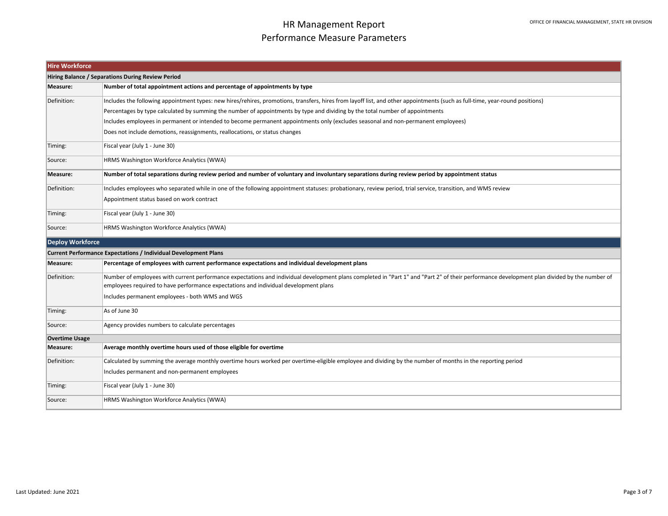| <b>Hire Workforce</b>                             |                                                                                                                                                                                                                                                                                      |  |
|---------------------------------------------------|--------------------------------------------------------------------------------------------------------------------------------------------------------------------------------------------------------------------------------------------------------------------------------------|--|
| Hiring Balance / Separations During Review Period |                                                                                                                                                                                                                                                                                      |  |
| Measure:                                          | Number of total appointment actions and percentage of appointments by type                                                                                                                                                                                                           |  |
| Definition:                                       | Includes the following appointment types: new hires/rehires, promotions, transfers, hires from layoff list, and other appointments (such as full-time, year-round positions)                                                                                                         |  |
|                                                   | Percentages by type calculated by summing the number of appointments by type and dividing by the total number of appointments                                                                                                                                                        |  |
|                                                   | Includes employees in permanent or intended to become permanent appointments only (excludes seasonal and non-permanent employees)                                                                                                                                                    |  |
|                                                   | Does not include demotions, reassignments, reallocations, or status changes                                                                                                                                                                                                          |  |
| Timing:                                           | Fiscal year (July 1 - June 30)                                                                                                                                                                                                                                                       |  |
| Source:                                           | HRMS Washington Workforce Analytics (WWA)                                                                                                                                                                                                                                            |  |
| Measure:                                          | Number of total separations during review period and number of voluntary and involuntary separations during review period by appointment status                                                                                                                                      |  |
| Definition:                                       | Includes employees who separated while in one of the following appointment statuses: probationary, review period, trial service, transition, and WMS review                                                                                                                          |  |
|                                                   | Appointment status based on work contract                                                                                                                                                                                                                                            |  |
| Timing:                                           | Fiscal year (July 1 - June 30)                                                                                                                                                                                                                                                       |  |
| Source:                                           | <b>HRMS Washington Workforce Analytics (WWA)</b>                                                                                                                                                                                                                                     |  |
| <b>Deploy Workforce</b>                           |                                                                                                                                                                                                                                                                                      |  |
|                                                   | <b>Current Performance Expectations / Individual Development Plans</b>                                                                                                                                                                                                               |  |
| Measure:                                          | Percentage of employees with current performance expectations and individual development plans                                                                                                                                                                                       |  |
| Definition:                                       | Number of employees with current performance expectations and individual development plans completed in "Part 1" and "Part 2" of their performance development plan divided by the number of<br>employees required to have performance expectations and individual development plans |  |
|                                                   | Includes permanent employees - both WMS and WGS                                                                                                                                                                                                                                      |  |
| Timing:                                           | As of June 30                                                                                                                                                                                                                                                                        |  |
| Source:                                           | Agency provides numbers to calculate percentages                                                                                                                                                                                                                                     |  |
| <b>Overtime Usage</b>                             |                                                                                                                                                                                                                                                                                      |  |
| Measure:                                          | Average monthly overtime hours used of those eligible for overtime                                                                                                                                                                                                                   |  |
| Definition:                                       | Calculated by summing the average monthly overtime hours worked per overtime-eligible employee and dividing by the number of months in the reporting period                                                                                                                          |  |
|                                                   | Includes permanent and non-permanent employees                                                                                                                                                                                                                                       |  |
| Timing:                                           | Fiscal year (July 1 - June 30)                                                                                                                                                                                                                                                       |  |
| Source:                                           | HRMS Washington Workforce Analytics (WWA)                                                                                                                                                                                                                                            |  |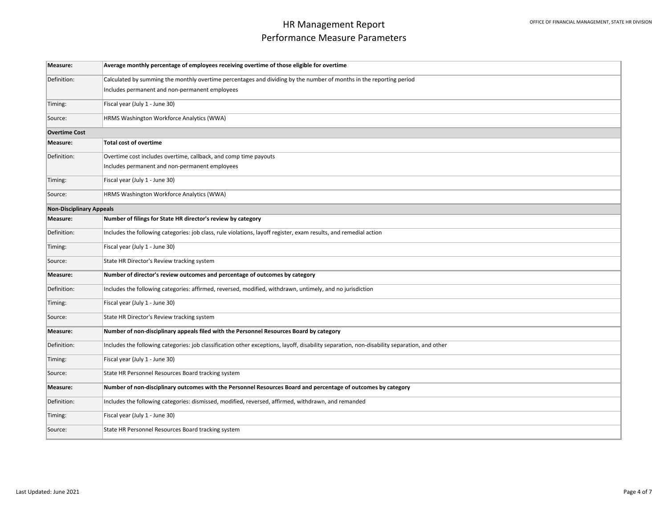| Measure:                        | Average monthly percentage of employees receiving overtime of those eligible for overtime                                                   |
|---------------------------------|---------------------------------------------------------------------------------------------------------------------------------------------|
| Definition:                     | Calculated by summing the monthly overtime percentages and dividing by the number of months in the reporting period                         |
|                                 | Includes permanent and non-permanent employees                                                                                              |
| Timing:                         | Fiscal year (July 1 - June 30)                                                                                                              |
| Source:                         | HRMS Washington Workforce Analytics (WWA)                                                                                                   |
| <b>Overtime Cost</b>            |                                                                                                                                             |
| Measure:                        | <b>Total cost of overtime</b>                                                                                                               |
| Definition:                     | Overtime cost includes overtime, callback, and comp time payouts                                                                            |
|                                 | Includes permanent and non-permanent employees                                                                                              |
| Timing:                         | Fiscal year (July 1 - June 30)                                                                                                              |
| Source:                         | HRMS Washington Workforce Analytics (WWA)                                                                                                   |
| <b>Non-Disciplinary Appeals</b> |                                                                                                                                             |
| Measure:                        | Number of filings for State HR director's review by category                                                                                |
| Definition:                     | Includes the following categories: job class, rule violations, layoff register, exam results, and remedial action                           |
| Timing:                         | Fiscal year (July 1 - June 30)                                                                                                              |
| Source:                         | State HR Director's Review tracking system                                                                                                  |
| Measure:                        | Number of director's review outcomes and percentage of outcomes by category                                                                 |
| Definition:                     | Includes the following categories: affirmed, reversed, modified, withdrawn, untimely, and no jurisdiction                                   |
| Timing:                         | Fiscal year (July 1 - June 30)                                                                                                              |
| Source:                         | State HR Director's Review tracking system                                                                                                  |
| Measure:                        | Number of non-disciplinary appeals filed with the Personnel Resources Board by category                                                     |
| Definition:                     | Includes the following categories: job classification other exceptions, layoff, disability separation, non-disability separation, and other |
| Timing:                         | Fiscal year (July 1 - June 30)                                                                                                              |
| Source:                         | State HR Personnel Resources Board tracking system                                                                                          |
| Measure:                        | Number of non-disciplinary outcomes with the Personnel Resources Board and percentage of outcomes by category                               |
| Definition:                     | Includes the following categories: dismissed, modified, reversed, affirmed, withdrawn, and remanded                                         |
| Timing:                         | Fiscal year (July 1 - June 30)                                                                                                              |
| Source:                         | State HR Personnel Resources Board tracking system                                                                                          |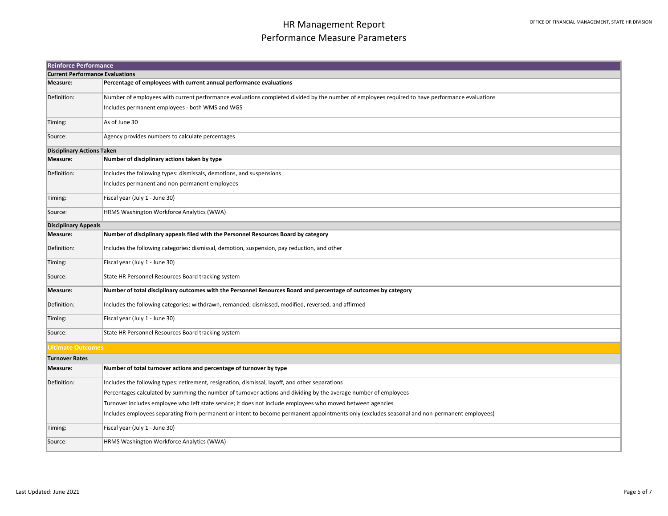|                                        | <b>Reinforce Performance</b>                                                                                                                   |  |  |
|----------------------------------------|------------------------------------------------------------------------------------------------------------------------------------------------|--|--|
| <b>Current Performance Evaluations</b> |                                                                                                                                                |  |  |
| Measure:                               | Percentage of employees with current annual performance evaluations                                                                            |  |  |
| Definition:                            | Number of employees with current performance evaluations completed divided by the number of employees required to have performance evaluations |  |  |
|                                        | Includes permanent employees - both WMS and WGS                                                                                                |  |  |
| Timing:                                | As of June 30                                                                                                                                  |  |  |
| Source:                                | Agency provides numbers to calculate percentages                                                                                               |  |  |
| <b>Disciplinary Actions Taken</b>      |                                                                                                                                                |  |  |
| Measure:                               | Number of disciplinary actions taken by type                                                                                                   |  |  |
| Definition:                            | Includes the following types: dismissals, demotions, and suspensions                                                                           |  |  |
|                                        | Includes permanent and non-permanent employees                                                                                                 |  |  |
| Timing:                                | Fiscal year (July 1 - June 30)                                                                                                                 |  |  |
| Source:                                | HRMS Washington Workforce Analytics (WWA)                                                                                                      |  |  |
| <b>Disciplinary Appeals</b>            |                                                                                                                                                |  |  |
| Measure:                               | Number of disciplinary appeals filed with the Personnel Resources Board by category                                                            |  |  |
| Definition:                            | Includes the following categories: dismissal, demotion, suspension, pay reduction, and other                                                   |  |  |
| Timing:                                | Fiscal year (July 1 - June 30)                                                                                                                 |  |  |
| Source:                                | State HR Personnel Resources Board tracking system                                                                                             |  |  |
| Measure:                               | Number of total disciplinary outcomes with the Personnel Resources Board and percentage of outcomes by category                                |  |  |
| Definition:                            | Includes the following categories: withdrawn, remanded, dismissed, modified, reversed, and affirmed                                            |  |  |
| Timing:                                | Fiscal year (July 1 - June 30)                                                                                                                 |  |  |
| Source:                                | State HR Personnel Resources Board tracking system                                                                                             |  |  |
| <b>Ultimate Outcomes</b>               |                                                                                                                                                |  |  |
| <b>Turnover Rates</b>                  |                                                                                                                                                |  |  |
| Measure:                               | Number of total turnover actions and percentage of turnover by type                                                                            |  |  |
| Definition:                            | Includes the following types: retirement, resignation, dismissal, layoff, and other separations                                                |  |  |
|                                        | Percentages calculated by summing the number of turnover actions and dividing by the average number of employees                               |  |  |
|                                        | Turnover includes employee who left state service; it does not include employees who moved between agencies                                    |  |  |
|                                        | Includes employees separating from permanent or intent to become permanent appointments only (excludes seasonal and non-permanent employees)   |  |  |
| Timing:                                | Fiscal year (July 1 - June 30)                                                                                                                 |  |  |
| Source:                                | HRMS Washington Workforce Analytics (WWA)                                                                                                      |  |  |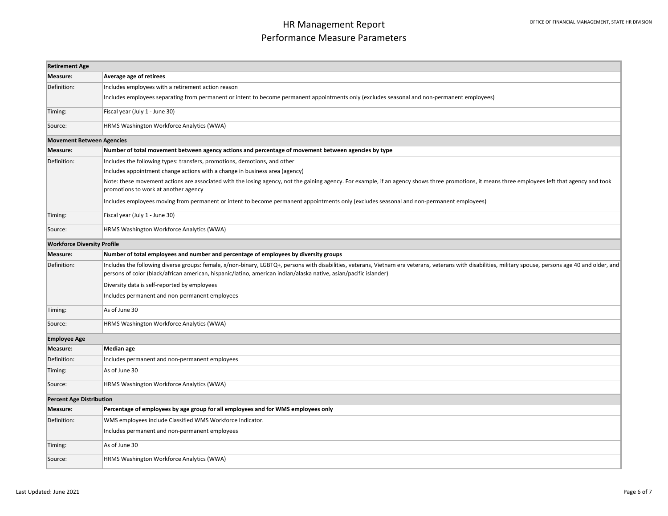| <b>Retirement Age</b>              |                                                                                                                                                                                                                                                                                                                                 |  |
|------------------------------------|---------------------------------------------------------------------------------------------------------------------------------------------------------------------------------------------------------------------------------------------------------------------------------------------------------------------------------|--|
| Measure:                           | Average age of retirees                                                                                                                                                                                                                                                                                                         |  |
| Definition:                        | Includes employees with a retirement action reason                                                                                                                                                                                                                                                                              |  |
|                                    | Includes employees separating from permanent or intent to become permanent appointments only (excludes seasonal and non-permanent employees)                                                                                                                                                                                    |  |
| Timing:                            | Fiscal year (July 1 - June 30)                                                                                                                                                                                                                                                                                                  |  |
| Source:                            | HRMS Washington Workforce Analytics (WWA)                                                                                                                                                                                                                                                                                       |  |
|                                    | <b>Movement Between Agencies</b>                                                                                                                                                                                                                                                                                                |  |
| Measure:                           | Number of total movement between agency actions and percentage of movement between agencies by type                                                                                                                                                                                                                             |  |
| Definition:                        | Includes the following types: transfers, promotions, demotions, and other                                                                                                                                                                                                                                                       |  |
|                                    | Includes appointment change actions with a change in business area (agency)                                                                                                                                                                                                                                                     |  |
|                                    | Note: these movement actions are associated with the losing agency, not the gaining agency. For example, if an agency shows three promotions, it means three employees left that agency and took<br>promotions to work at another agency                                                                                        |  |
|                                    | Includes employees moving from permanent or intent to become permanent appointments only (excludes seasonal and non-permanent employees)                                                                                                                                                                                        |  |
| Timing:                            | Fiscal year (July 1 - June 30)                                                                                                                                                                                                                                                                                                  |  |
| Source:                            | HRMS Washington Workforce Analytics (WWA)                                                                                                                                                                                                                                                                                       |  |
| <b>Workforce Diversity Profile</b> |                                                                                                                                                                                                                                                                                                                                 |  |
| Measure:                           | Number of total employees and number and percentage of employees by diversity groups                                                                                                                                                                                                                                            |  |
| Definition:                        | Includes the following diverse groups: female, x/non-binary, LGBTQ+, persons with disabilities, veterans, Vietnam era veterans, veterans with disabilities, military spouse, persons age 40 and older, and<br>persons of color (black/african american, hispanic/latino, american indian/alaska native, asian/pacific islander) |  |
|                                    | Diversity data is self-reported by employees                                                                                                                                                                                                                                                                                    |  |
|                                    | Includes permanent and non-permanent employees                                                                                                                                                                                                                                                                                  |  |
| Timing:                            | As of June 30                                                                                                                                                                                                                                                                                                                   |  |
| Source:                            | HRMS Washington Workforce Analytics (WWA)                                                                                                                                                                                                                                                                                       |  |
| <b>Employee Age</b>                |                                                                                                                                                                                                                                                                                                                                 |  |
| Measure:                           | Median age                                                                                                                                                                                                                                                                                                                      |  |
| Definition:                        | Includes permanent and non-permanent employees                                                                                                                                                                                                                                                                                  |  |
| Timing:                            | As of June 30                                                                                                                                                                                                                                                                                                                   |  |
| Source:                            | HRMS Washington Workforce Analytics (WWA)                                                                                                                                                                                                                                                                                       |  |
| <b>Percent Age Distribution</b>    |                                                                                                                                                                                                                                                                                                                                 |  |
| Measure:                           | Percentage of employees by age group for all employees and for WMS employees only                                                                                                                                                                                                                                               |  |
| Definition:                        | WMS employees include Classified WMS Workforce Indicator.                                                                                                                                                                                                                                                                       |  |
|                                    | Includes permanent and non-permanent employees                                                                                                                                                                                                                                                                                  |  |
| Timing:                            | As of June 30                                                                                                                                                                                                                                                                                                                   |  |
| Source:                            | HRMS Washington Workforce Analytics (WWA)                                                                                                                                                                                                                                                                                       |  |